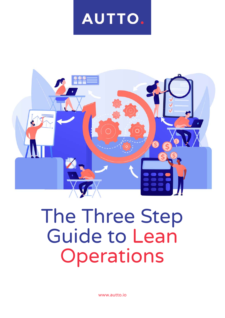# AUTTO.



# The Three Step Guide to Lean Operations

[www.autto.io](https://www.autto.io/)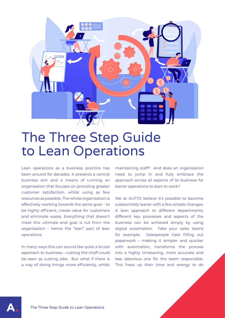

## The Three Step Guide to Lean Operations

Lean operations as a business practice has been around for decades. It presents a central business aim and a means of running an organisation that focuses on providing greater customer satisfaction, whilst using as few resources as possible. The whole organisation is effectively working towards the same goal – to be highly efficient, create value for customers and eliminate waste. Everything that doesn't meet this ultimate end goal is cut from the organisation – hence the "lean" part of lean operations.

In many ways this can sound like quite a brutal approach to business – cutting the chaff could be seen as cutting jobs. But what if there is a way of doing things more efficiently, whilst

maintaining staff? And does an organisation need to jump in and fully embrace the approach across all aspects of its business for leaner operations to start to work?

We at AUTTO believe it's possible to become substantially leaner with a few simple changes. A lean approach to different departments, different key processes and aspects of the business can be achieved simply by using digital automation. Take your sales teams for example. Salespeople hate filling out paperwork – making it simpler and quicker with automation, transforms the process into a highly timesaving, more accurate and less laborious one for the team responsible. This frees up their time and energy to do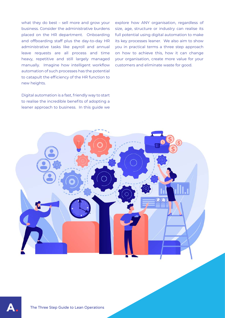what they do best – sell more and grow your business. Consider the administrative burdens placed on the HR department. Onboarding and offboarding staff plus the day-to-day HR administrative tasks like payroll and annual leave requests are all process and time heavy, repetitive and still largely managed manually. Imagine how intelligent workflow automation of such processes has the potential to catapult the efficiency of the HR function to new heights.

Digital automation is a fast, friendly way to start to realise the incredible benefits of adopting a leaner approach to business. In this guide we explore how ANY organisation, regardless of size, age, structure or industry can realise its full potential using digital automation to make its key processes leaner. We also aim to show you in practical terms a three step approach on how to achieve this, how it can change your organisation, create more value for your customers and eliminate waste for good.



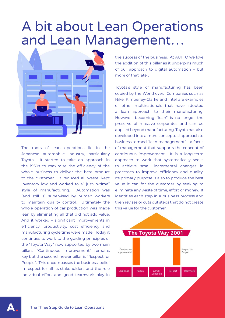## A bit about Lean Operations and Lean Management…



The roots of lean operations lie in the Japanese automobile industry, particularly Toyota. It started to take an approach in the 1950s to maximise the efficiency of the whole business to deliver the best product to the customer. It reduced all waste, kept inventory low and worked to a" just-in-time" style of manufacturing. Automation was (and still is) supervised by human workers to maintain quality control. Ultimately the whole operation of car production was made lean by eliminating all that did not add value. And it worked – significant improvements in efficiency, productivity, cost efficiency and manufacturing cycle time were made. Today it continues to work to the guiding principles of the "Toyota Way" now supported by two main pillars. "Continuous Improvement" remains key but the second, newer pillar is "Respect for People". This encompasses the business' belief in respect for all its stakeholders and the role individual effort and good teamwork play in

the success of the business. At AUTTO we love the addition of this pillar as it underpins much of our approach to digital automation – but more of that later.

Toyota's style of manufacturing has been copied by the World over. Companies such as Nike, Kimberley-Clarke and Intel are examples of other multinationals that have adopted a lean approach to their manufacturing. However, becoming "lean" is no longer the preserve of massive corporates and can be applied beyond manufacturing. Toyota has also developed into a more conceptual approach to business termed "lean management" – a focus of management that supports the concept of continuous improvement. It is a long-term approach to work that systematically seeks to achieve small incremental changes in processes to improve efficiency and quality. Its primary purpose is also to produce the best value it can for the customer by seeking to eliminate any waste of time, effort or money. It identifies each step in a business process and then revises or cuts out steps that do not create this value for the customer.

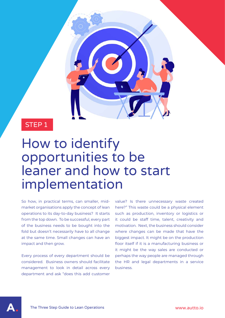STEP 1

## How to identify opportunities to be leaner and how to start implementation

So how, in practical terms, can smaller, midmarket organisations apply the concept of lean operations to its day-to-day business? It starts from the top down. To be successful, every part of the business needs to be bought into the fold but doesn't necessarily have to all change at the same time. Small changes can have an impact and then grow.

Every process of every department should be considered. Business owners should facilitate management to look in detail across every department and ask "does this add customer

value? Is there unnecessary waste created here?" This waste could be a physical element such as production, inventory or logistics or it could be staff time, talent, creativity and motivation. Next, the business should consider where changes can be made that have the biggest impact. It might be on the production floor itself if it is a manufacturing business or it might be the way sales are conducted or perhaps the way people are managed through the HR and legal departments in a service business.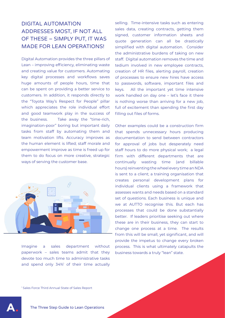#### DIGITAL AUTOMATION ADDRESSES MOST, IF NOT ALL OF THESE – SIMPLY PUT, IT WAS MADE FOR LEAN OPERATIONS!

Digital Automation provides the three pillars of Lean – improving efficiency, eliminating waste and creating value for customers. Automating key digital processes and workflows saves huge amounts of people hours, time that can be spent on providing a better service to customers. In addition, it responds directly to the "Toyota Way's Respect for People" pillar which appreciates the role individual effort and good teamwork play in the success of the business. Take away the "time-rich, imagination-poor" boring but important daily tasks from staff by automating them and team motivation lifts. Accuracy improves as the human element is lifted; staff morale and empowerment improve as time is freed up for them to do focus on more creative, strategic ways of serving the customer base.



Imagine a sales department without paperwork – sales teams admit that they devote too much time to administrative tasks and spend only 34%<sup>1</sup> of their time actually selling. Time-intensive tasks such as entering sales data, creating contracts, getting them signed, customer information sheets and quote generation can all be drastically simplified with digital automation. Consider the administrative burdens of taking on new staff. Digital automation removes the time and tedium involved in new employee contracts, creation of HR files, alerting payroll, creation of processes to ensure new hires have access to passwords, software, important files and keys. All the important yet time intensive work handled on day one – let's face it there is nothing worse than arriving for a new job, full of excitement than spending the first day filling out files of forms.

Other examples could be a construction firm that spends unnecessary hours producing documentation to send between contractors for approval of jobs but desperately need staff hours to do more physical work; a legal firm with different departments that are continually wasting time (and billable hours) reinventing the wheel every time an NDA is sent to a client; a training organisation that creates personal development plans for individual clients using a framework that assesses wants and needs based on a standard set of questions. Each business is unique and we at AUTTO recognise this. But each has processes that could be done substantially better. If leaders prioritise seeking out where these are in their business, they can start to change one process at a time. The results from this will be small, yet significant, and will provide the impetus to change every broken process. This is what ultimately catapults the business towards a truly "lean" state.

1 Sales Force Third Annual State of Sales Report

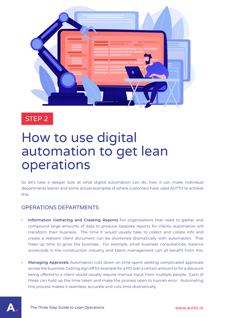

### STEP 2

# How to use digital automation to get lean operations

So let's take a deeper look at what digital automation can do, how it can make individual departments leaner and some actual examples of where customers have used AUTTO to achieve this.

#### OPERATIONS DEPARTMENTS

- **• Information Gathering and Creating Reports** For organisations that need to gather and compound large amounts of data to produce bespoke reports for clients, automation will transform their business. The time it would usually take to collect and collate info and create a relevant client document can be shortened dramatically with automation. That frees up time to grow the business. For example, small business consultancies, balance scorecards in the construction industry and talent management can all benefit from this.
- **• Managing Approvals** Automation cuts down on time spent seeking complicated approvals across the business. Getting sign off for example for a PO over a certain amount or for a discount being offered to a client would usually require manual input from multiple people. Each of these can hold up the time taken and make the process open to human error. Automating this process makes it seamless, accurate and cuts time dramatically.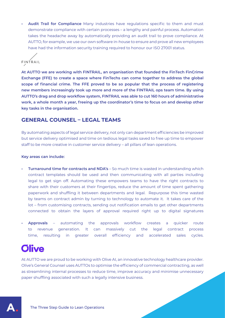**• Audit Trail for Compliance** Many industries have regulations specific to them and must demonstrate compliance with certain processes – a lengthy and painful process. Automation takes the headache away by automatically providing an audit trail to prove compliance. At AUTTO, for example, we use our own software in-house to ensure and prove all new employees have had the information security training required to honour our ISO 27001 status.



**At AUTTO we are working with FINTRAIL, an organisation that founded the FinTech FinCrime Exchange (FFE) to create a space where FinTechs can come together to address the global scope of financial crime. The FFE proved to be so popular that the process of registering new members increasingly took up more and more of the FINTRAIL ops team time. By using AUTTO's drag and drop workflow system, FINTRAIL was able to cut 160 hours of administrative work, a whole month a year, freeing up the coordinator's time to focus on and develop other key tasks in the organisation.**

#### **GENERAL COUNSEL – LEGAL TEAMS**

By automating aspects of legal service delivery, not only can department efficiencies be improved but service delivery optimised and time on tedious legal tasks saved to free up time to empower staff to be more creative in customer service delivery – all pillars of lean operations.

#### **Key areas can include:**

- **• Turnaround time for contracts and NDA's** So much time is wasted in understanding which contract templates should be used and then communicating with all parties including legal to get sign off. Automating these empowers teams to have the right contracts to share with their customers at their fingertips, reduce the amount of time spent gathering paperwork and shuffling it between departments and legal. Repurpose this time wasted by teams on contract admin by turning to technology to automate it. It takes care of the lot – from customising contracts, sending out notification emails to get other departments connected to obtain the layers of approval required right up to digital signatures
- **• Approvals** automating the approvals workflow creates a quicker route to revenue generation. It can massively cut the legal contract process time, resulting in greater overall efficiency and accelerated sales cycles.

### **Olive**

At AUTTO we are proud to be working with Olive AI, an innovative technology healthcare provider. Olive's General Counsel uses AUTTOs to optimise the efficiency of commercial contracting, as well as streamlining internal processes to reduce time, improve accuracy and minimise unnecessary paper shuffling associated with such a legally intensive business.

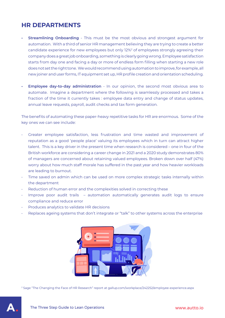### **HR DEPARTMENTS**

- **Streamlining Onboarding** This must be the most obvious and strongest argument for automation. With a third of senior HR management believing they are trying to create a better candidate experience for new employees but only 12%<sup>2</sup> of employees strongly agreeing their company does a great job onboarding, something is clearly going wrong. Employee satisfaction starts from day one and facing a day or more of endless form filling when starting a new role does not set the right tone. We would recommend using automation to improve, for example, all new joiner and user forms, IT equipment set up, HR profile creation and orientation scheduling.
- **• Employee day-to-day administration** In our opinion, the second most obvious area to automate. Imagine a department where the following is seamlessly processed and takes a fraction of the time it currently takes : employee data entry and change of status updates, annual leave requests, payroll, audit checks and tax form generation.

The benefits of automating these paper-heavy repetitive tasks for HR are enormous. Some of the key ones we can see include:

- Greater employee satisfaction, less frustration and time wasted and improvement of reputation as a good 'people place' valuing its employees which in turn can attract higher talent. This is a key driver in the present time when research is considered – one in four of the British workforce are considering a career change in 2021 and a 2020 study demonstrates 80% of managers are concerned about retaining valued employees. Broken down over half (47%) worry about how much staff morale has suffered in the past year and how heavier workloads are leading to burnout.
- Time saved on admin which can be used on more complex strategic tasks internally within the department
- Reduction of human error and the complexities solved in correcting these
- Improve poor audit trails automation automatically generates audit logs to ensure compliance and reduce error
- Produces analytics to validate HR decisions
- Replaces ageing systems that don't integrate or "talk" to other systems across the enterprise



2 Sage "The Changing the Face of HR Research" report at gallup.com/workplace/242252/employee-experience.aspx

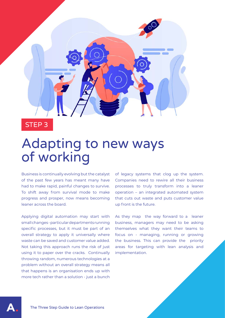

STEP 3

## Adapting to new ways of working

Business is continually evolving but the catalyst of the past few years has meant many have had to make rapid, painful changes to survive. To shift away from survival mode to make progress and prosper, now means becoming leaner across the board.

Applying digital automation may start with small changes - particular departments running specific processes, but it must be part of an overall strategy to apply it universally where waste can be saved and customer value added. Not taking this approach runs the risk of just using it to paper over the cracks. Continually throwing random, numerous technologies at a problem without an overall strategy means all that happens is an organisation ends up with more tech rather than a solution - just a bunch

of legacy systems that clog up the system. Companies need to rewire all their business processes to truly transform into a leaner operation – an integrated automated system that cuts out waste and puts customer value up front is the future.

As they map the way forward to a leaner business, managers may need to be asking themselves what they want their teams to focus on - managing, running or growing the business. This can provide the priority areas for targeting with lean analysis and implementation.